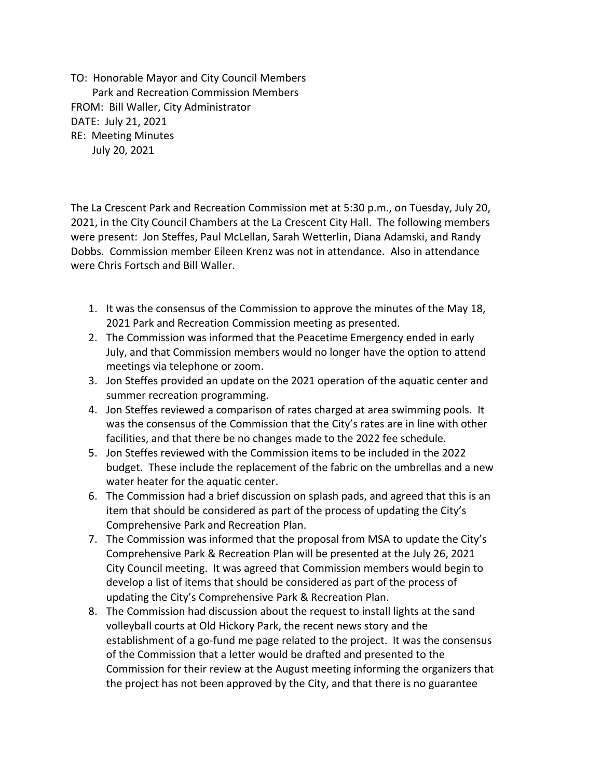TO: Honorable Mayor and City Council Members Park and Recreation Commission Members FROM: Bill Waller, City Administrator DATE: July 21, 2021 RE: Meeting Minutes July 20, 2021

The La Crescent Park and Recreation Commission met at 5:30 p.m., on Tuesday, July 20, 2021, in the City Council Chambers at the La Crescent City Hall. The following members were present: Jon Steffes, Paul McLellan, Sarah Wetterlin, Diana Adamski, and Randy Dobbs. Commission member Eileen Krenz was not in attendance. Also in attendance were Chris Fortsch and Bill Waller.

- 1. It was the consensus of the Commission to approve the minutes of the May 18, 2021 Park and Recreation Commission meeting as presented.
- 2. The Commission was informed that the Peacetime Emergency ended in early July, and that Commission members would no longer have the option to attend meetings via telephone or zoom.
- 3. Jon Steffes provided an update on the 2021 operation of the aquatic center and summer recreation programming.
- 4. Jon Steffes reviewed a comparison of rates charged at area swimming pools. It was the consensus of the Commission that the City's rates are in line with other facilities, and that there be no changes made to the 2022 fee schedule.
- 5. Jon Steffes reviewed with the Commission items to be included in the 2022 budget. These include the replacement of the fabric on the umbrellas and a new water heater for the aquatic center.
- 6. The Commission had a brief discussion on splash pads, and agreed that this is an item that should be considered as part of the process of updating the City's Comprehensive Park and Recreation Plan.
- 7. The Commission was informed that the proposal from MSA to update the City's Comprehensive Park & Recreation Plan will be presented at the July 26, 2021 City Council meeting. It was agreed that Commission members would begin to develop a list of items that should be considered as part of the process of updating the City's Comprehensive Park & Recreation Plan.
- 8. The Commission had discussion about the request to install lights at the sand volleyball courts at Old Hickory Park, the recent news story and the establishment of a go-fund me page related to the project. It was the consensus of the Commission that a letter would be drafted and presented to the Commission for their review at the August meeting informing the organizers that the project has not been approved by the City, and that there is no guarantee